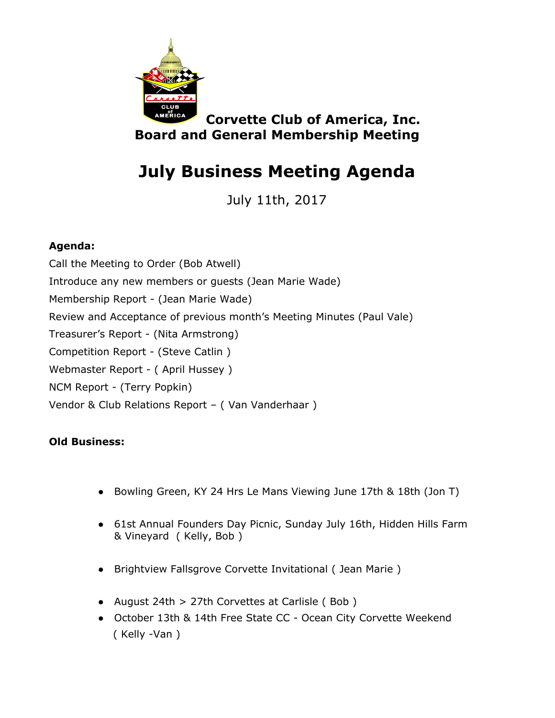

**Corvette Club of America, Inc. Board and General Membership Meeting**

# **July Business Meeting Agenda**

July 11th, 2017

### **Agenda:**

Call the Meeting to Order (Bob Atwell) Introduce any new members or guests (Jean Marie Wade) Membership Report - (Jean Marie Wade) Review and Acceptance of previous month's Meeting Minutes (Paul Vale) Treasurer's Report - (Nita Armstrong) Competition Report - (Steve Catlin ) Webmaster Report - ( April Hussey ) NCM Report - (Terry Popkin) Vendor & Club Relations Report – ( Van Vanderhaar )

#### **Old Business:**

- Bowling Green, KY 24 Hrs Le Mans Viewing June 17th & 18th (Jon T)
- 61st Annual Founders Day Picnic, Sunday July 16th, Hidden Hills Farm & Vineyard ( Kelly, Bob )
- Brightview Fallsgrove Corvette Invitational ( Jean Marie )
- August 24th > 27th Corvettes at Carlisle ( Bob )
- October 13th & 14th Free State CC Ocean City Corvette Weekend ( Kelly -Van )